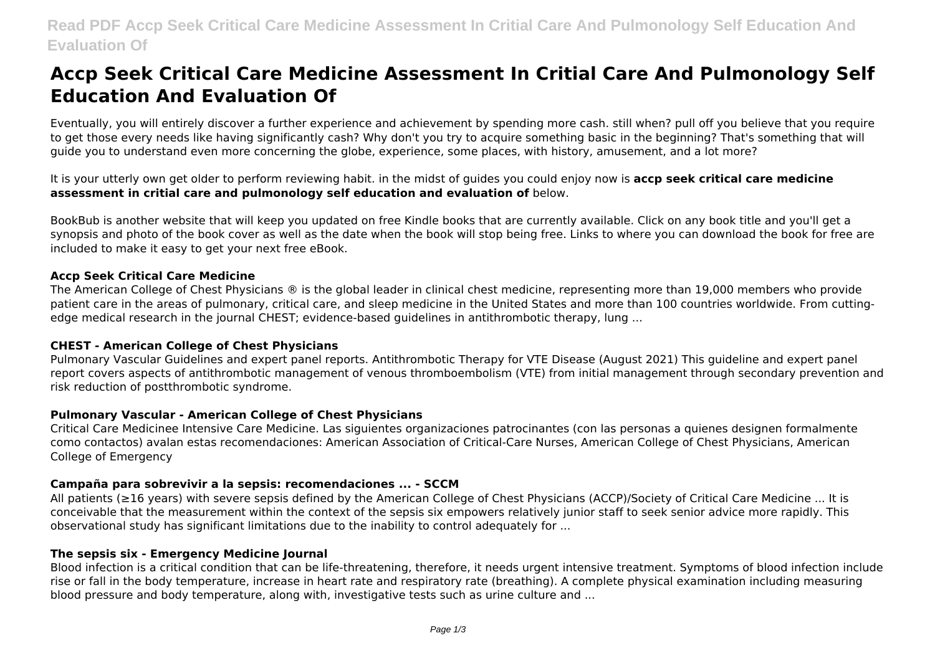# **Accp Seek Critical Care Medicine Assessment In Critial Care And Pulmonology Self Education And Evaluation Of**

Eventually, you will entirely discover a further experience and achievement by spending more cash. still when? pull off you believe that you require to get those every needs like having significantly cash? Why don't you try to acquire something basic in the beginning? That's something that will guide you to understand even more concerning the globe, experience, some places, with history, amusement, and a lot more?

It is your utterly own get older to perform reviewing habit. in the midst of guides you could enjoy now is **accp seek critical care medicine assessment in critial care and pulmonology self education and evaluation of** below.

BookBub is another website that will keep you updated on free Kindle books that are currently available. Click on any book title and you'll get a synopsis and photo of the book cover as well as the date when the book will stop being free. Links to where you can download the book for free are included to make it easy to get your next free eBook.

# **Accp Seek Critical Care Medicine**

The American College of Chest Physicians ® is the global leader in clinical chest medicine, representing more than 19,000 members who provide patient care in the areas of pulmonary, critical care, and sleep medicine in the United States and more than 100 countries worldwide. From cuttingedge medical research in the journal CHEST; evidence-based guidelines in antithrombotic therapy, lung ...

# **CHEST - American College of Chest Physicians**

Pulmonary Vascular Guidelines and expert panel reports. Antithrombotic Therapy for VTE Disease (August 2021) This guideline and expert panel report covers aspects of antithrombotic management of venous thromboembolism (VTE) from initial management through secondary prevention and risk reduction of postthrombotic syndrome.

# **Pulmonary Vascular - American College of Chest Physicians**

Critical Care Medicinee Intensive Care Medicine. Las siguientes organizaciones patrocinantes (con las personas a quienes designen formalmente como contactos) avalan estas recomendaciones: American Association of Critical-Care Nurses, American College of Chest Physicians, American College of Emergency

# **Campaña para sobrevivir a la sepsis: recomendaciones ... - SCCM**

All patients (≥16 years) with severe sepsis defined by the American College of Chest Physicians (ACCP)/Society of Critical Care Medicine ... It is conceivable that the measurement within the context of the sepsis six empowers relatively junior staff to seek senior advice more rapidly. This observational study has significant limitations due to the inability to control adequately for ...

#### **The sepsis six - Emergency Medicine Journal**

Blood infection is a critical condition that can be life-threatening, therefore, it needs urgent intensive treatment. Symptoms of blood infection include rise or fall in the body temperature, increase in heart rate and respiratory rate (breathing). A complete physical examination including measuring blood pressure and body temperature, along with, investigative tests such as urine culture and ...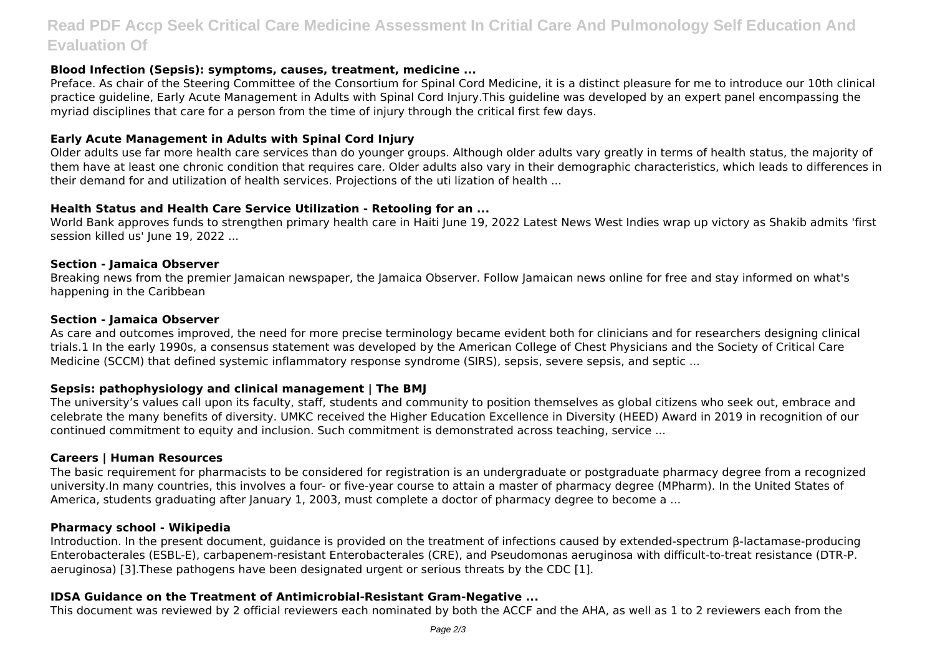# **Read PDF Accp Seek Critical Care Medicine Assessment In Critial Care And Pulmonology Self Education And Evaluation Of**

# **Blood Infection (Sepsis): symptoms, causes, treatment, medicine ...**

Preface. As chair of the Steering Committee of the Consortium for Spinal Cord Medicine, it is a distinct pleasure for me to introduce our 10th clinical practice guideline, Early Acute Management in Adults with Spinal Cord Injury.This guideline was developed by an expert panel encompassing the myriad disciplines that care for a person from the time of injury through the critical first few days.

# **Early Acute Management in Adults with Spinal Cord Injury**

Older adults use far more health care services than do younger groups. Although older adults vary greatly in terms of health status, the majority of them have at least one chronic condition that requires care. Older adults also vary in their demographic characteristics, which leads to differences in their demand for and utilization of health services. Projections of the uti lization of health ...

# **Health Status and Health Care Service Utilization - Retooling for an ...**

World Bank approves funds to strengthen primary health care in Haiti June 19, 2022 Latest News West Indies wrap up victory as Shakib admits 'first session killed us' June 19, 2022 ...

# **Section - Jamaica Observer**

Breaking news from the premier Jamaican newspaper, the Jamaica Observer. Follow Jamaican news online for free and stay informed on what's happening in the Caribbean

#### **Section - Jamaica Observer**

As care and outcomes improved, the need for more precise terminology became evident both for clinicians and for researchers designing clinical trials.1 In the early 1990s, a consensus statement was developed by the American College of Chest Physicians and the Society of Critical Care Medicine (SCCM) that defined systemic inflammatory response syndrome (SIRS), sepsis, severe sepsis, and septic ...

# **Sepsis: pathophysiology and clinical management | The BMJ**

The university's values call upon its faculty, staff, students and community to position themselves as global citizens who seek out, embrace and celebrate the many benefits of diversity. UMKC received the Higher Education Excellence in Diversity (HEED) Award in 2019 in recognition of our continued commitment to equity and inclusion. Such commitment is demonstrated across teaching, service ...

# **Careers | Human Resources**

The basic requirement for pharmacists to be considered for registration is an undergraduate or postgraduate pharmacy degree from a recognized university.In many countries, this involves a four- or five-year course to attain a master of pharmacy degree (MPharm). In the United States of America, students graduating after January 1, 2003, must complete a doctor of pharmacy degree to become a ...

# **Pharmacy school - Wikipedia**

Introduction. In the present document, guidance is provided on the treatment of infections caused by extended-spectrum β-lactamase-producing Enterobacterales (ESBL-E), carbapenem-resistant Enterobacterales (CRE), and Pseudomonas aeruginosa with difficult-to-treat resistance (DTR-P. aeruginosa) [3].These pathogens have been designated urgent or serious threats by the CDC [1].

# **IDSA Guidance on the Treatment of Antimicrobial-Resistant Gram-Negative ...**

This document was reviewed by 2 official reviewers each nominated by both the ACCF and the AHA, as well as 1 to 2 reviewers each from the